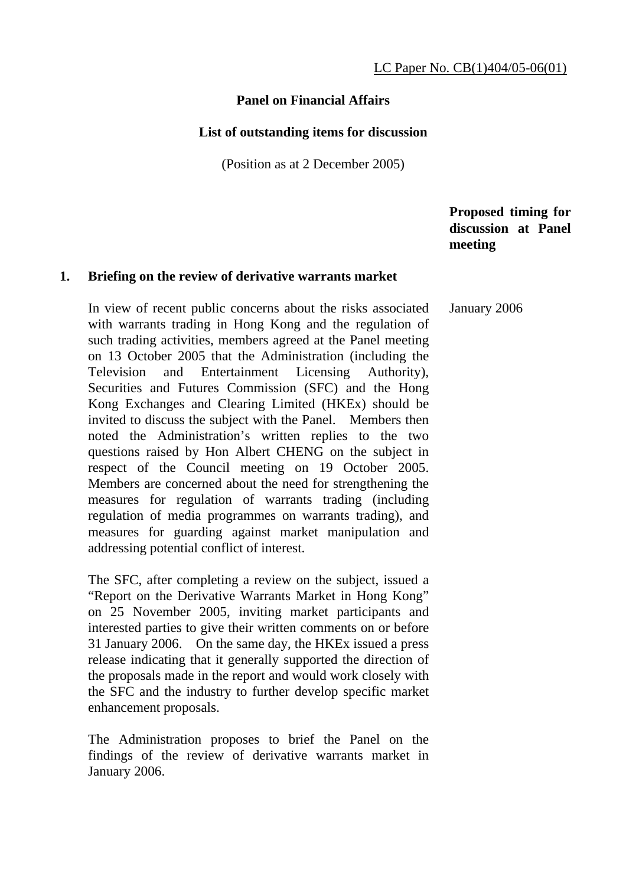## **Panel on Financial Affairs**

#### **List of outstanding items for discussion**

(Position as at 2 December 2005)

 **Proposed timing for discussion at Panel meeting** 

#### **1. Briefing on the review of derivative warrants market**

In view of recent public concerns about the risks associated with warrants trading in Hong Kong and the regulation of such trading activities, members agreed at the Panel meeting on 13 October 2005 that the Administration (including the Television and Entertainment Licensing Authority), Securities and Futures Commission (SFC) and the Hong Kong Exchanges and Clearing Limited (HKEx) should be invited to discuss the subject with the Panel. Members then noted the Administration's written replies to the two questions raised by Hon Albert CHENG on the subject in respect of the Council meeting on 19 October 2005. Members are concerned about the need for strengthening the measures for regulation of warrants trading (including regulation of media programmes on warrants trading), and measures for guarding against market manipulation and addressing potential conflict of interest. January 2006

 The SFC, after completing a review on the subject, issued a "Report on the Derivative Warrants Market in Hong Kong" on 25 November 2005, inviting market participants and interested parties to give their written comments on or before 31 January 2006. On the same day, the HKEx issued a press release indicating that it generally supported the direction of the proposals made in the report and would work closely with the SFC and the industry to further develop specific market enhancement proposals.

 The Administration proposes to brief the Panel on the findings of the review of derivative warrants market in January 2006.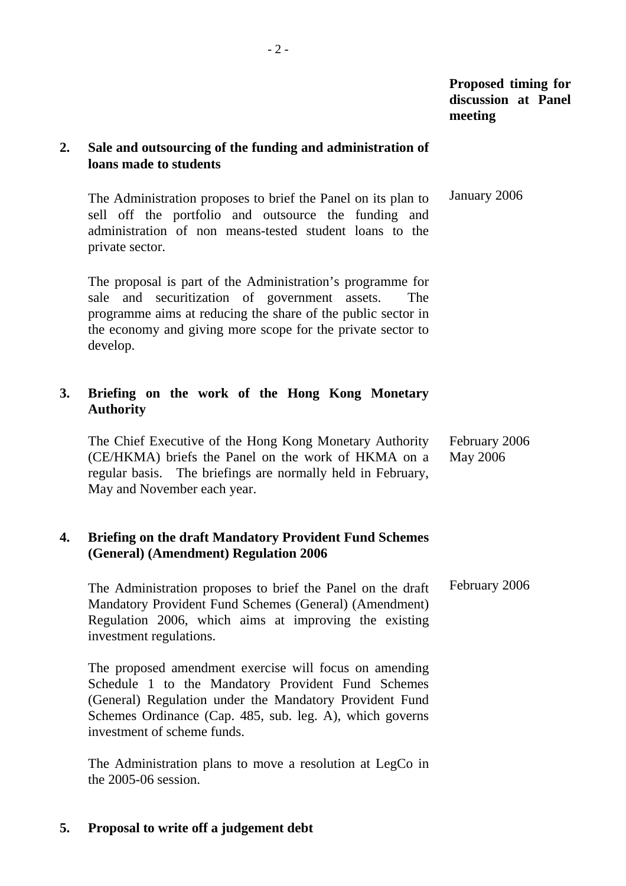## **2. Sale and outsourcing of the funding and administration of loans made to students**

 The Administration proposes to brief the Panel on its plan to sell off the portfolio and outsource the funding and administration of non means-tested student loans to the private sector. January 2006

 The proposal is part of the Administration's programme for sale and securitization of government assets. The programme aims at reducing the share of the public sector in the economy and giving more scope for the private sector to develop.

# **3. Briefing on the work of the Hong Kong Monetary Authority**

 The Chief Executive of the Hong Kong Monetary Authority (CE/HKMA) briefs the Panel on the work of HKMA on a regular basis. The briefings are normally held in February, May and November each year. February 2006 May 2006

## **4. Briefing on the draft Mandatory Provident Fund Schemes (General) (Amendment) Regulation 2006**

 The Administration proposes to brief the Panel on the draft Mandatory Provident Fund Schemes (General) (Amendment) Regulation 2006, which aims at improving the existing investment regulations. February 2006

 The proposed amendment exercise will focus on amending Schedule 1 to the Mandatory Provident Fund Schemes (General) Regulation under the Mandatory Provident Fund Schemes Ordinance (Cap. 485, sub. leg. A), which governs investment of scheme funds.

 The Administration plans to move a resolution at LegCo in the 2005-06 session.

# **5. Proposal to write off a judgement debt**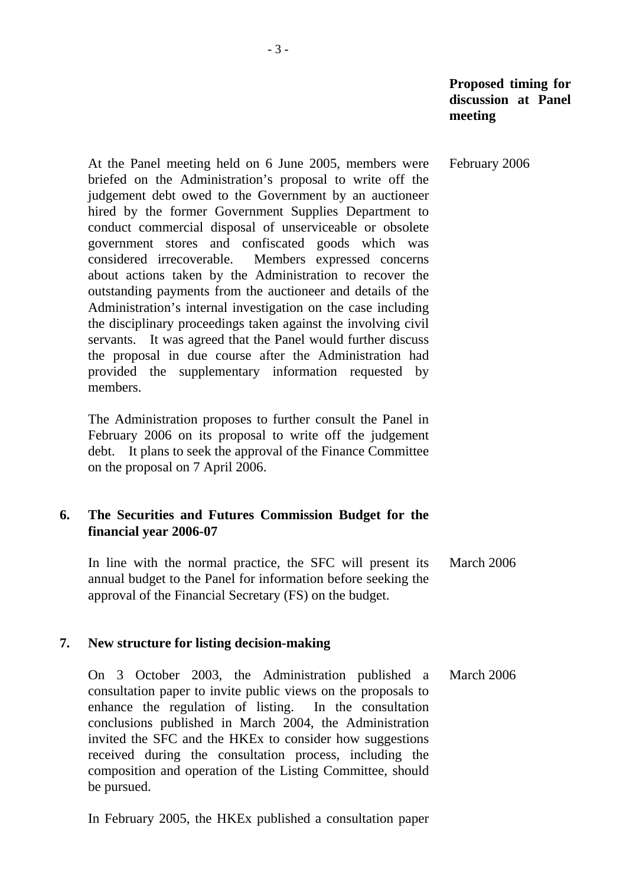February 2006

 At the Panel meeting held on 6 June 2005, members were briefed on the Administration's proposal to write off the judgement debt owed to the Government by an auctioneer hired by the former Government Supplies Department to conduct commercial disposal of unserviceable or obsolete government stores and confiscated goods which was considered irrecoverable. Members expressed concerns about actions taken by the Administration to recover the outstanding payments from the auctioneer and details of the Administration's internal investigation on the case including the disciplinary proceedings taken against the involving civil servants. It was agreed that the Panel would further discuss the proposal in due course after the Administration had provided the supplementary information requested by members.

 The Administration proposes to further consult the Panel in February 2006 on its proposal to write off the judgement debt. It plans to seek the approval of the Finance Committee on the proposal on 7 April 2006.

#### **6. The Securities and Futures Commission Budget for the financial year 2006-07**

 In line with the normal practice, the SFC will present its annual budget to the Panel for information before seeking the approval of the Financial Secretary (FS) on the budget. March 2006

#### **7. New structure for listing decision-making**

 On 3 October 2003, the Administration published a consultation paper to invite public views on the proposals to enhance the regulation of listing. In the consultation conclusions published in March 2004, the Administration invited the SFC and the HKEx to consider how suggestions received during the consultation process, including the composition and operation of the Listing Committee, should be pursued. March 2006

In February 2005, the HKEx published a consultation paper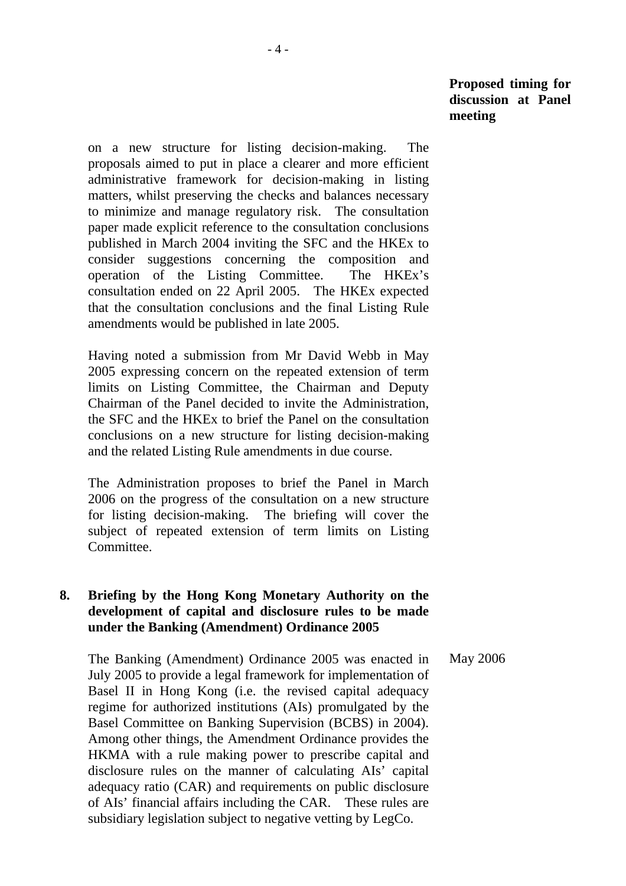on a new structure for listing decision-making. The proposals aimed to put in place a clearer and more efficient administrative framework for decision-making in listing matters, whilst preserving the checks and balances necessary to minimize and manage regulatory risk. The consultation paper made explicit reference to the consultation conclusions published in March 2004 inviting the SFC and the HKEx to consider suggestions concerning the composition and operation of the Listing Committee. The HKEx's consultation ended on 22 April 2005. The HKEx expected that the consultation conclusions and the final Listing Rule amendments would be published in late 2005.

 Having noted a submission from Mr David Webb in May 2005 expressing concern on the repeated extension of term limits on Listing Committee, the Chairman and Deputy Chairman of the Panel decided to invite the Administration, the SFC and the HKEx to brief the Panel on the consultation conclusions on a new structure for listing decision-making and the related Listing Rule amendments in due course.

 The Administration proposes to brief the Panel in March 2006 on the progress of the consultation on a new structure for listing decision-making. The briefing will cover the subject of repeated extension of term limits on Listing Committee.

## **8. Briefing by the Hong Kong Monetary Authority on the development of capital and disclosure rules to be made under the Banking (Amendment) Ordinance 2005**

 The Banking (Amendment) Ordinance 2005 was enacted in July 2005 to provide a legal framework for implementation of Basel II in Hong Kong (i.e. the revised capital adequacy regime for authorized institutions (AIs) promulgated by the Basel Committee on Banking Supervision (BCBS) in 2004). Among other things, the Amendment Ordinance provides the HKMA with a rule making power to prescribe capital and disclosure rules on the manner of calculating AIs' capital adequacy ratio (CAR) and requirements on public disclosure of AIs' financial affairs including the CAR. These rules are subsidiary legislation subject to negative vetting by LegCo. May 2006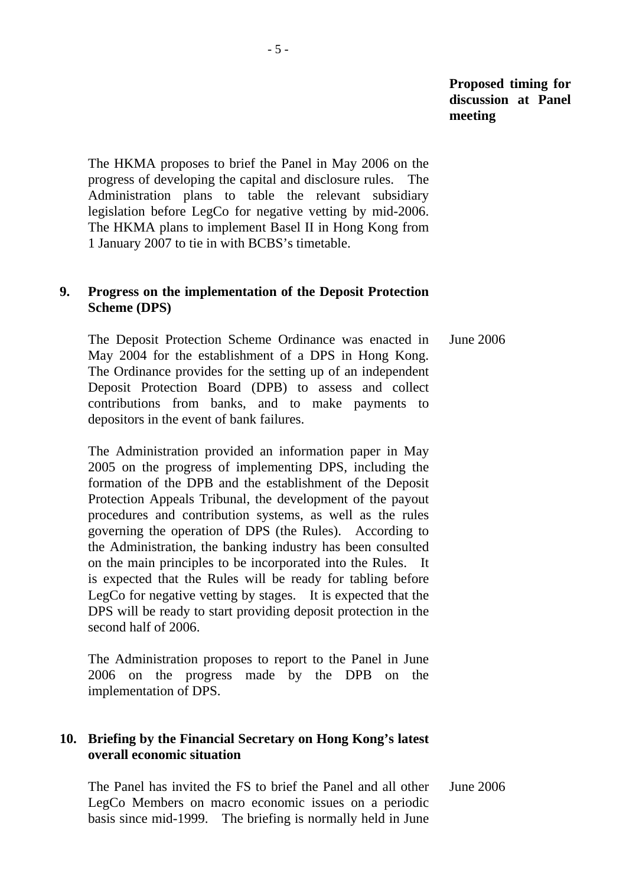The HKMA proposes to brief the Panel in May 2006 on the progress of developing the capital and disclosure rules. The Administration plans to table the relevant subsidiary legislation before LegCo for negative vetting by mid-2006. The HKMA plans to implement Basel II in Hong Kong from 1 January 2007 to tie in with BCBS's timetable.

## **9. Progress on the implementation of the Deposit Protection Scheme (DPS)**

 The Deposit Protection Scheme Ordinance was enacted in May 2004 for the establishment of a DPS in Hong Kong. The Ordinance provides for the setting up of an independent Deposit Protection Board (DPB) to assess and collect contributions from banks, and to make payments to depositors in the event of bank failures. June 2006

 The Administration provided an information paper in May 2005 on the progress of implementing DPS, including the formation of the DPB and the establishment of the Deposit Protection Appeals Tribunal, the development of the payout procedures and contribution systems, as well as the rules governing the operation of DPS (the Rules). According to the Administration, the banking industry has been consulted on the main principles to be incorporated into the Rules. It is expected that the Rules will be ready for tabling before LegCo for negative vetting by stages. It is expected that the DPS will be ready to start providing deposit protection in the second half of 2006.

 The Administration proposes to report to the Panel in June 2006 on the progress made by the DPB on the implementation of DPS.

# **10. Briefing by the Financial Secretary on Hong Kong's latest overall economic situation**

 The Panel has invited the FS to brief the Panel and all other LegCo Members on macro economic issues on a periodic basis since mid-1999. The briefing is normally held in June June 2006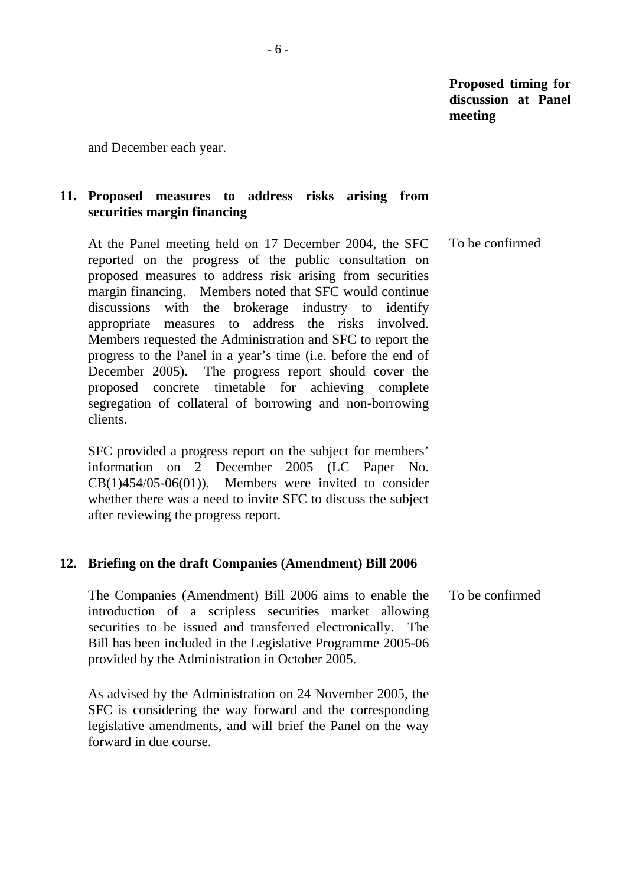and December each year.

# **11. Proposed measures to address risks arising from securities margin financing**

 At the Panel meeting held on 17 December 2004, the SFC reported on the progress of the public consultation on proposed measures to address risk arising from securities margin financing. Members noted that SFC would continue discussions with the brokerage industry to identify appropriate measures to address the risks involved. Members requested the Administration and SFC to report the progress to the Panel in a year's time (i.e. before the end of December 2005). The progress report should cover the proposed concrete timetable for achieving complete segregation of collateral of borrowing and non-borrowing clients. To be confirmed

 SFC provided a progress report on the subject for members' information on 2 December 2005 (LC Paper No. CB(1)454/05-06(01)). Members were invited to consider whether there was a need to invite SFC to discuss the subject after reviewing the progress report.

#### **12. Briefing on the draft Companies (Amendment) Bill 2006**

 The Companies (Amendment) Bill 2006 aims to enable the introduction of a scripless securities market allowing securities to be issued and transferred electronically. The Bill has been included in the Legislative Programme 2005-06 provided by the Administration in October 2005. To be confirmed

 As advised by the Administration on 24 November 2005, the SFC is considering the way forward and the corresponding legislative amendments, and will brief the Panel on the way forward in due course.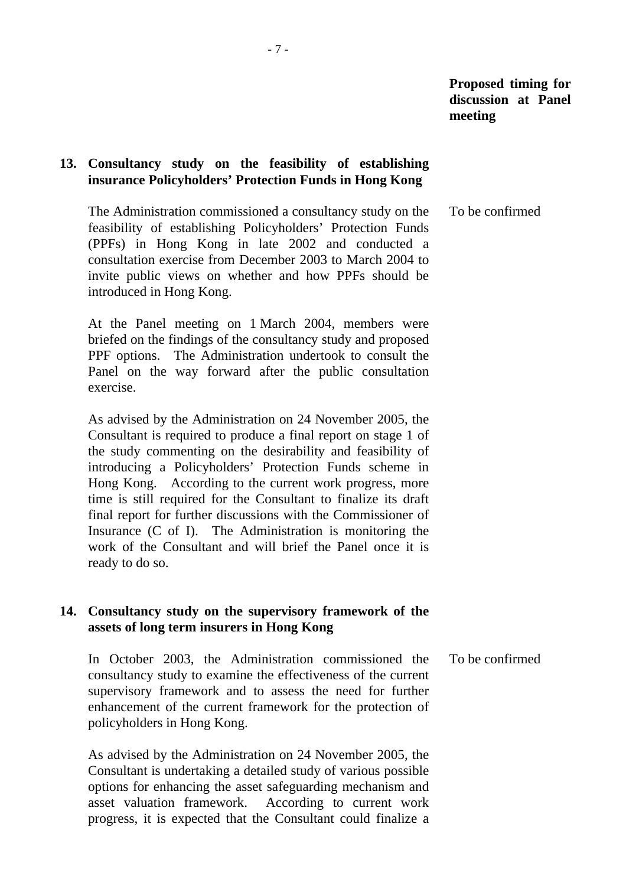## **13. Consultancy study on the feasibility of establishing insurance Policyholders' Protection Funds in Hong Kong**

 The Administration commissioned a consultancy study on the feasibility of establishing Policyholders' Protection Funds (PPFs) in Hong Kong in late 2002 and conducted a consultation exercise from December 2003 to March 2004 to invite public views on whether and how PPFs should be introduced in Hong Kong. To be confirmed

 At the Panel meeting on 1 March 2004, members were briefed on the findings of the consultancy study and proposed PPF options. The Administration undertook to consult the Panel on the way forward after the public consultation exercise.

 As advised by the Administration on 24 November 2005, the Consultant is required to produce a final report on stage 1 of the study commenting on the desirability and feasibility of introducing a Policyholders' Protection Funds scheme in Hong Kong. According to the current work progress, more time is still required for the Consultant to finalize its draft final report for further discussions with the Commissioner of Insurance (C of I). The Administration is monitoring the work of the Consultant and will brief the Panel once it is ready to do so.

## **14. Consultancy study on the supervisory framework of the assets of long term insurers in Hong Kong**

 In October 2003, the Administration commissioned the consultancy study to examine the effectiveness of the current supervisory framework and to assess the need for further enhancement of the current framework for the protection of policyholders in Hong Kong. To be confirmed

 As advised by the Administration on 24 November 2005, the Consultant is undertaking a detailed study of various possible options for enhancing the asset safeguarding mechanism and asset valuation framework. According to current work progress, it is expected that the Consultant could finalize a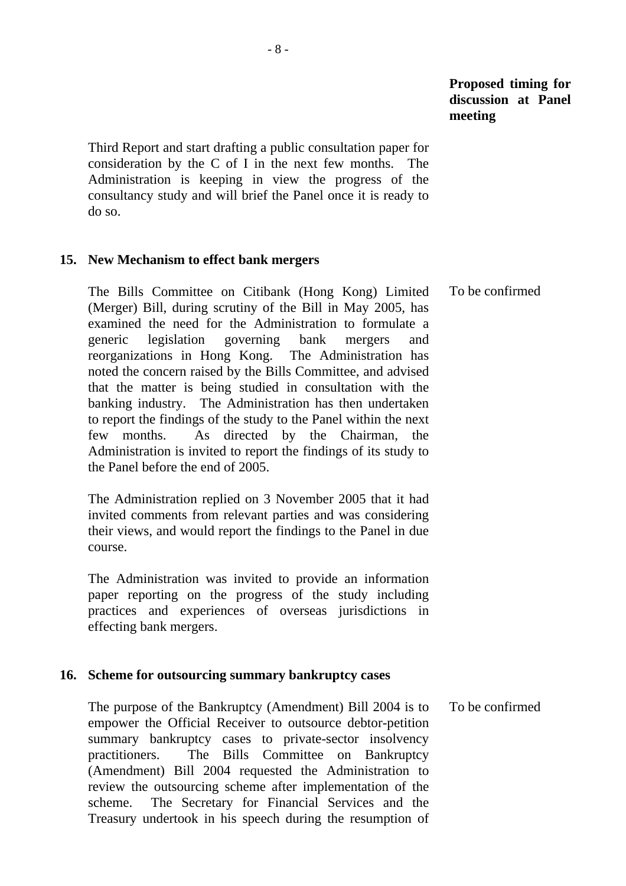Third Report and start drafting a public consultation paper for consideration by the C of I in the next few months. The Administration is keeping in view the progress of the consultancy study and will brief the Panel once it is ready to do so.

#### **15. New Mechanism to effect bank mergers**

 The Bills Committee on Citibank (Hong Kong) Limited (Merger) Bill, during scrutiny of the Bill in May 2005, has examined the need for the Administration to formulate a generic legislation governing bank mergers and reorganizations in Hong Kong. The Administration has noted the concern raised by the Bills Committee, and advised that the matter is being studied in consultation with the banking industry. The Administration has then undertaken to report the findings of the study to the Panel within the next few months. As directed by the Chairman, the Administration is invited to report the findings of its study to the Panel before the end of 2005. To be confirmed

 The Administration replied on 3 November 2005 that it had invited comments from relevant parties and was considering their views, and would report the findings to the Panel in due course.

 The Administration was invited to provide an information paper reporting on the progress of the study including practices and experiences of overseas jurisdictions in effecting bank mergers.

#### **16. Scheme for outsourcing summary bankruptcy cases**

 The purpose of the Bankruptcy (Amendment) Bill 2004 is to empower the Official Receiver to outsource debtor-petition summary bankruptcy cases to private-sector insolvency practitioners. The Bills Committee on Bankruptcy (Amendment) Bill 2004 requested the Administration to review the outsourcing scheme after implementation of the scheme. The Secretary for Financial Services and the Treasury undertook in his speech during the resumption of To be confirmed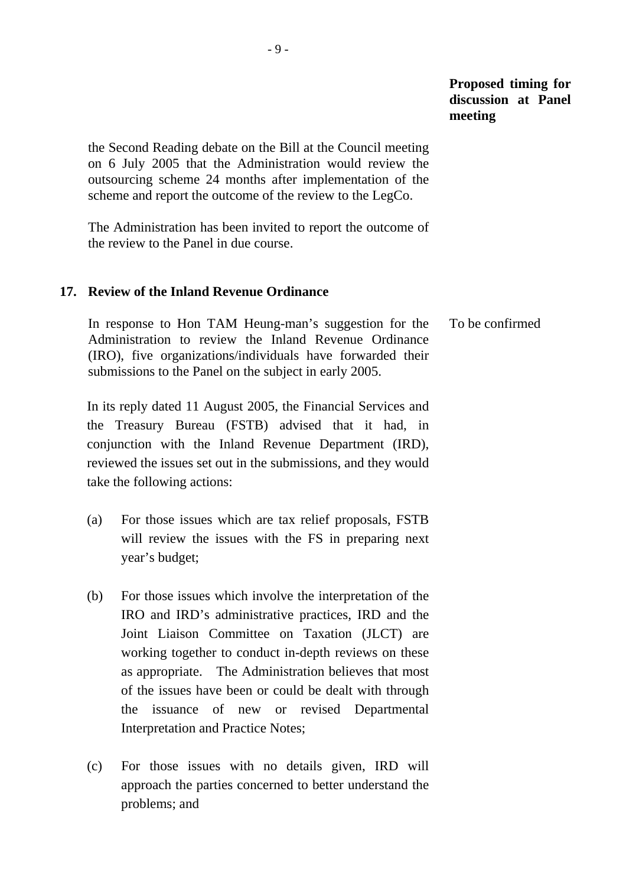the Second Reading debate on the Bill at the Council meeting on 6 July 2005 that the Administration would review the outsourcing scheme 24 months after implementation of the scheme and report the outcome of the review to the LegCo.

 The Administration has been invited to report the outcome of the review to the Panel in due course.

#### **17. Review of the Inland Revenue Ordinance**

 In response to Hon TAM Heung-man's suggestion for the Administration to review the Inland Revenue Ordinance (IRO), five organizations/individuals have forwarded their submissions to the Panel on the subject in early 2005. To be confirmed

 In its reply dated 11 August 2005, the Financial Services and the Treasury Bureau (FSTB) advised that it had, in conjunction with the Inland Revenue Department (IRD), reviewed the issues set out in the submissions, and they would take the following actions:

- (a) For those issues which are tax relief proposals, FSTB will review the issues with the FS in preparing next year's budget;
- (b) For those issues which involve the interpretation of the IRO and IRD's administrative practices, IRD and the Joint Liaison Committee on Taxation (JLCT) are working together to conduct in-depth reviews on these as appropriate. The Administration believes that most of the issues have been or could be dealt with through the issuance of new or revised Departmental Interpretation and Practice Notes;
- (c) For those issues with no details given, IRD will approach the parties concerned to better understand the problems; and